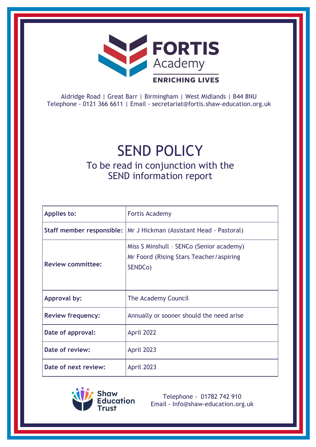

Aldridge Road | Great Barr | Birmingham | West Midlands | B44 8NU Telephone - 0121 366 6611 | Email - [secretariat@fortis.shaw-education.org.uk](mailto:secretariat@fortis.shaw-education.org.uk)

# SEND POLICY

# To be read in conjunction with the SEND information report

| <b>Applies to:</b>       | <b>Fortis Academy</b>                                                                          |
|--------------------------|------------------------------------------------------------------------------------------------|
|                          | Staff member responsible:   Mr J Hickman (Assistant Head - Pastoral)                           |
| <b>Review committee:</b> | Miss S Minshull - SENCo (Senior academy)<br>Mr Foord (Rising Stars Teacher/aspiring<br>SENDCo) |
| Approval by:             | The Academy Council                                                                            |
| <b>Review frequency:</b> | Annually or sooner should the need arise                                                       |
| Date of approval:        | April 2022                                                                                     |
| Date of review:          | April 2023                                                                                     |
| Date of next review:     | April 2023                                                                                     |



Telephone - 01782 742 910 Email - [Info@shaw-education.org.uk](mailto:Info@shaw-education.org.uk)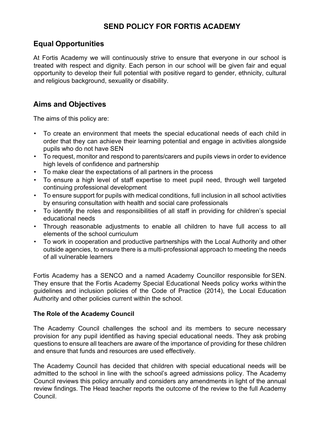# **SEND POLICY FOR FORTIS ACADEMY**

### **Equal Opportunities**

At Fortis Academy we will continuously strive to ensure that everyone in our school is treated with respect and dignity. Each person in our school will be given fair and equal opportunity to develop their full potential with positive regard to gender, ethnicity, cultural and religious background, sexuality or disability.

## **Aims and Objectives**

The aims of this policy are:

- To create an environment that meets the special educational needs of each child in order that they can achieve their learning potential and engage in activities alongside pupils who do not have SEN
- To request, monitor and respond to parents/carers and pupils views in order to evidence high levels of confidence and partnership
- To make clear the expectations of all partners in the process
- To ensure a high level of staff expertise to meet pupil need, through well targeted continuing professional development
- To ensure support for pupils with medical conditions, full inclusion in all school activities by ensuring consultation with health and social care professionals
- To identify the roles and responsibilities of all staff in providing for children's special educational needs
- Through reasonable adjustments to enable all children to have full access to all elements of the school curriculum
- To work in cooperation and productive partnerships with the Local Authority and other outside agencies, to ensure there is a multi-professional approach to meeting the needs of all vulnerable learners

Fortis Academy has a SENCO and a named Academy Councillor responsible for SEN. They ensure that the Fortis Academy Special Educational Needs policy works within the guidelines and inclusion policies of the Code of Practice (2014), the Local Education Authority and other policies current within the school.

#### **The Role of the Academy Council**

The Academy Council challenges the school and its members to secure necessary provision for any pupil identified as having special educational needs. They ask probing questions to ensure all teachers are aware of the importance of providing for these children and ensure that funds and resources are used effectively.

The Academy Council has decided that children with special educational needs will be admitted to the school in line with the school's agreed admissions policy. The Academy Council reviews this policy annually and considers any amendments in light of the annual review findings. The Head teacher reports the outcome of the review to the full Academy Council.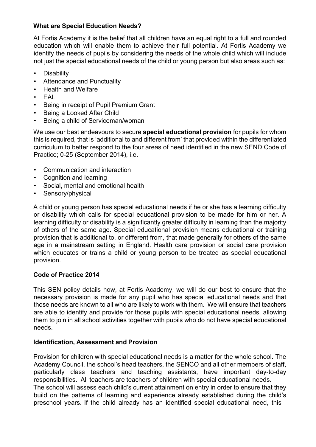#### **What are Special Education Needs?**

At Fortis Academy it is the belief that all children have an equal right to a full and rounded education which will enable them to achieve their full potential. At Fortis Academy we identify the needs of pupils by considering the needs of the whole child which will include not just the special educational needs of the child or young person but also areas such as:

- Disability
- Attendance and Punctuality
- Health and Welfare
- EAL
- Being in receipt of Pupil Premium Grant
- Being a Looked After Child
- Being a child of Serviceman/woman

We use our best endeavours to secure **special educational provision** for pupils for whom this is required, that is 'additional to and different from' that provided within the differentiated curriculum to better respond to the four areas of need identified in the new SEND Code of Practice; 0-25 (September 2014), i.e.

- Communication and interaction
- Cognition and learning
- Social, mental and emotional health
- Sensory/physical

A child or young person has special educational needs if he or she has a learning difficulty or disability which calls for special educational provision to be made for him or her. A learning difficulty or disability is a significantly greater difficulty in learning than the majority of others of the same age. Special educational provision means educational or training provision that is additional to, or different from, that made generally for others of the same age in a mainstream setting in England. Health care provision or social care provision which educates or trains a child or young person to be treated as special educational provision.

#### **Code of Practice 2014**

This SEN policy details how, at Fortis Academy, we will do our best to ensure that the necessary provision is made for any pupil who has special educational needs and that those needs are known to all who are likely to work with them. We will ensure that teachers are able to identify and provide for those pupils with special educational needs, allowing them to join in all school activities together with pupils who do not have special educational needs.

#### **Identification, Assessment and Provision**

Provision for children with special educational needs is a matter for the whole school. The Academy Council, the school's head teachers, the SENCO and all other members of staff, particularly class teachers and teaching assistants, have important day-to-day responsibilities. All teachers are teachers of children with special educational needs. The school will assess each child's current attainment on entry in order to ensure that they build on the patterns of learning and experience already established during the child's preschool years. If the child already has an identified special educational need, this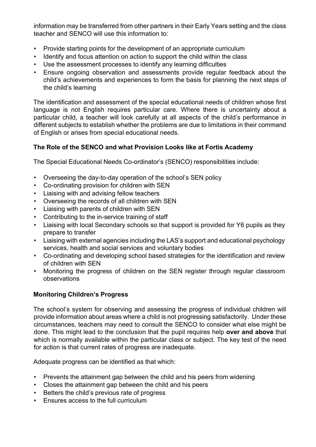information may be transferred from other partners in their Early Years setting and the class teacher and SENCO will use this information to:

- Provide starting points for the development of an appropriate curriculum
- Identify and focus attention on action to support the child within the class
- Use the assessment processes to identify any learning difficulties
- Ensure ongoing observation and assessments provide regular feedback about the child's achievements and experiences to form the basis for planning the next steps of the child's learning

The identification and assessment of the special educational needs of children whose first language is not English requires particular care. Where there is uncertainty about a particular child, a teacher will look carefully at all aspects of the child's performance in different subjects to establish whether the problems are due to limitations in their command of English or arises from special educational needs.

#### **The Role of the SENCO and what Provision Looks like at Fortis Academy**

The Special Educational Needs Co-ordinator's (SENCO) responsibilities include:

- Overseeing the day-to-day operation of the school's SEN policy
- Co-ordinating provision for children with SEN
- Liaising with and advising fellow teachers
- Overseeing the records of all children with SEN
- Liaising with parents of children with SEN
- Contributing to the in-service training of staff
- Liaising with local Secondary schools so that support is provided for Y6 pupils as they prepare to transfer
- Liaising with external agencies including the LAS's support and educational psychology services, health and social services and voluntary bodies
- Co-ordinating and developing school based strategies for the identification and review of children with SEN
- Monitoring the progress of children on the SEN register through regular classroom observations

#### **Monitoring Children's Progress**

The school's system for observing and assessing the progress of individual children will provide information about areas where a child is not progressing satisfactorily. Under these circumstances, teachers may need to consult the SENCO to consider what else might be done. This might lead to the conclusion that the pupil requires help **over and above** that which is normally available within the particular class or subject. The key test of the need for action is that current rates of progress are inadequate.

Adequate progress can be identified as that which:

- Prevents the attainment gap between the child and his peers from widening
- Closes the attainment gap between the child and his peers
- Betters the child's previous rate of progress
- Ensures access to the full curriculum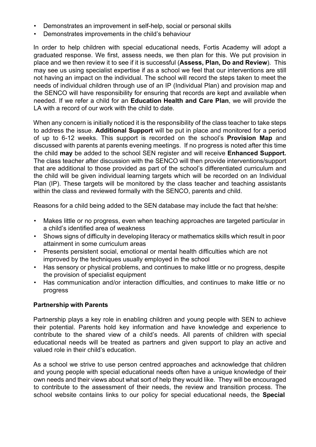- Demonstrates an improvement in self-help, social or personal skills
- Demonstrates improvements in the child's behaviour

In order to help children with special educational needs, Fortis Academy will adopt a graduated response. We first, assess needs, we then plan for this. We put provision in place and we then review it to see if it is successful (**Assess, Plan, Do and Review**). This may see us using specialist expertise if as a school we feel that our interventions are still not having an impact on the individual. The school will record the steps taken to meet the needs of individual children through use of an IP (Individual Plan) and provision map and the SENCO will have responsibility for ensuring that records are kept and available when needed. If we refer a child for an **Education Health and Care Plan**, we will provide the LA with a record of our work with the child to date.

When any concern is initially noticed it is the responsibility of the class teacher to take steps to address the issue. **Additional Support** will be put in place and monitored for a period of up to 6-12 weeks. This support is recorded on the school's **Provision Map** and discussed with parents at parents evening meetings. If no progress is noted after this time the child **may** be added to the school SEN register and will receive **Enhanced Support.** The class teacher after discussion with the SENCO will then provide interventions/support that are additional to those provided as part of the school's differentiated curriculum and the child will be given individual learning targets which will be recorded on an Individual Plan (IP). These targets will be monitored by the class teacher and teaching assistants within the class and reviewed formally with the SENCO, parents and child.

Reasons for a child being added to the SEN database may include the fact that he/she:

- Makes little or no progress, even when teaching approaches are targeted particular in a child's identified area of weakness
- Shows signs of difficulty in developing literacy or mathematics skills which result in poor attainment in some curriculum areas
- Presents persistent social, emotional or mental health difficulties which are not improved by the techniques usually employed in the school
- Has sensory or physical problems, and continues to make little or no progress, despite the provision of specialist equipment
- Has communication and/or interaction difficulties, and continues to make little or no progress

#### **Partnership with Parents**

Partnership plays a key role in enabling children and young people with SEN to achieve their potential. Parents hold key information and have knowledge and experience to contribute to the shared view of a child's needs. All parents of children with special educational needs will be treated as partners and given support to play an active and valued role in their child's education.

As a school we strive to use person centred approaches and acknowledge that children and young people with special educational needs often have a unique knowledge of their own needs and their views about what sort of help they would like. They will be encouraged to contribute to the assessment of their needs, the review and transition process. The school website contains links to our policy for special educational needs, the **Special**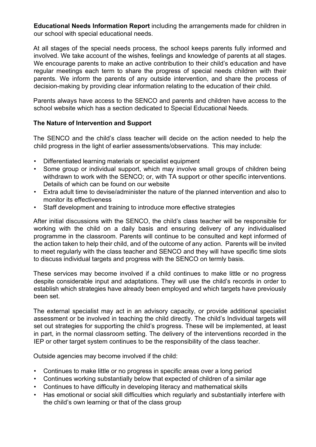**Educational Needs Information Report** including the arrangements made for children in our school with special educational needs.

At all stages of the special needs process, the school keeps parents fully informed and involved. We take account of the wishes, feelings and knowledge of parents at all stages. We encourage parents to make an active contribution to their child's education and have regular meetings each term to share the progress of special needs children with their parents. We inform the parents of any outside intervention, and share the process of decision-making by providing clear information relating to the education of their child.

Parents always have access to the SENCO and parents and children have access to the school website which has a section dedicated to Special Educational Needs.

#### **The Nature of Intervention and Support**

The SENCO and the child's class teacher will decide on the action needed to help the child progress in the light of earlier assessments/observations. This may include:

- Differentiated learning materials or specialist equipment
- Some group or individual support, which may involve small groups of children being withdrawn to work with the SENCO; or, with TA support or other specific interventions. Details of which can be found on our website
- Extra adult time to devise/administer the nature of the planned intervention and also to monitor its effectiveness
- Staff development and training to introduce more effective strategies

After initial discussions with the SENCO, the child's class teacher will be responsible for working with the child on a daily basis and ensuring delivery of any individualised programme in the classroom. Parents will continue to be consulted and kept informed of the action taken to help their child, and of the outcome of any action. Parents will be invited to meet regularly with the class teacher and SENCO and they will have specific time slots to discuss individual targets and progress with the SENCO on termly basis.

These services may become involved if a child continues to make little or no progress despite considerable input and adaptations. They will use the child's records in order to establish which strategies have already been employed and which targets have previously been set.

The external specialist may act in an advisory capacity, or provide additional specialist assessment or be involved in teaching the child directly. The child's Individual targets will set out strategies for supporting the child's progress. These will be implemented, at least in part, in the normal classroom setting. The delivery of the interventions recorded in the IEP or other target system continues to be the responsibility of the class teacher.

Outside agencies may become involved if the child:

- Continues to make little or no progress in specific areas over a long period
- Continues working substantially below that expected of children of a similar age
- Continues to have difficulty in developing literacy and mathematical skills
- Has emotional or social skill difficulties which regularly and substantially interfere with the child's own learning or that of the class group